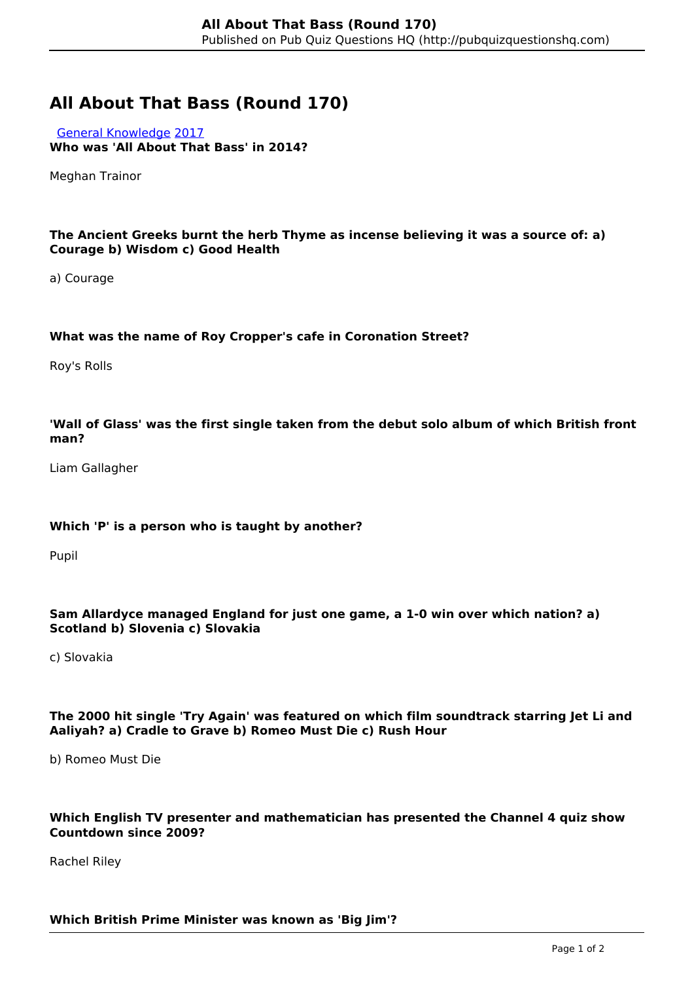# **All About That Bass (Round 170)**

 [General Knowledge](http://pubquizquestionshq.com/categories/general-knowledge) [2017](http://pubquizquestionshq.com/categories/2017) **Who was 'All About That Bass' in 2014?**

Meghan Trainor

## **The Ancient Greeks burnt the herb Thyme as incense believing it was a source of: a) Courage b) Wisdom c) Good Health**

a) Courage

## **What was the name of Roy Cropper's cafe in Coronation Street?**

Roy's Rolls

## **'Wall of Glass' was the first single taken from the debut solo album of which British front man?**

Liam Gallagher

#### **Which 'P' is a person who is taught by another?**

Pupil

## **Sam Allardyce managed England for just one game, a 1-0 win over which nation? a) Scotland b) Slovenia c) Slovakia**

c) Slovakia

## **The 2000 hit single 'Try Again' was featured on which film soundtrack starring Jet Li and Aaliyah? a) Cradle to Grave b) Romeo Must Die c) Rush Hour**

b) Romeo Must Die

## **Which English TV presenter and mathematician has presented the Channel 4 quiz show Countdown since 2009?**

Rachel Riley

#### **Which British Prime Minister was known as 'Big Jim'?**